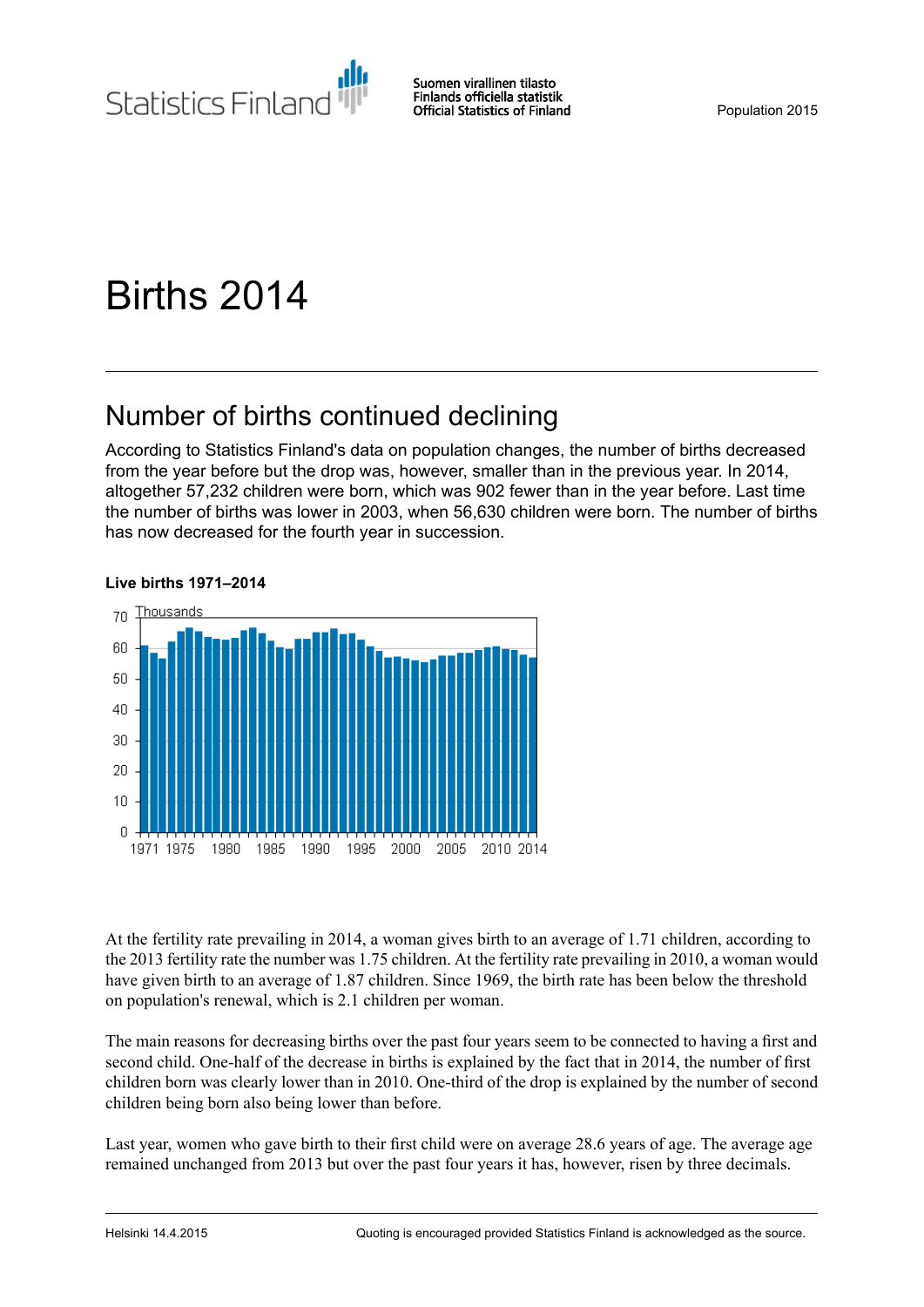

# Births 2014

## Number of births continued declining

According to Statistics Finland's data on population changes, the number of births decreased from the year before but the drop was, however, smaller than in the previous year. In 2014, altogether 57,232 children were born, which was 902 fewer than in the year before. Last time the number of births was lower in 2003, when 56,630 children were born. The number of births has now decreased for the fourth year in succession.



#### **Live births 1971–2014**

At the fertility rate prevailing in 2014, a woman gives birth to an average of 1.71 children, according to the 2013 fertility rate the number was 1.75 children. At the fertility rate prevailing in 2010, a woman would have given birth to an average of 1.87 children. Since 1969, the birth rate has been below the threshold on population's renewal, which is 2.1 children per woman.

The main reasons for decreasing births over the past four years seem to be connected to having a first and second child. One-half of the decrease in births is explained by the fact that in 2014, the number of first children born was clearly lower than in 2010. One-third of the drop is explained by the number of second children being born also being lower than before.

Last year, women who gave birth to their first child were on average 28.6 years of age. The average age remained unchanged from 2013 but over the past four years it has, however, risen by three decimals.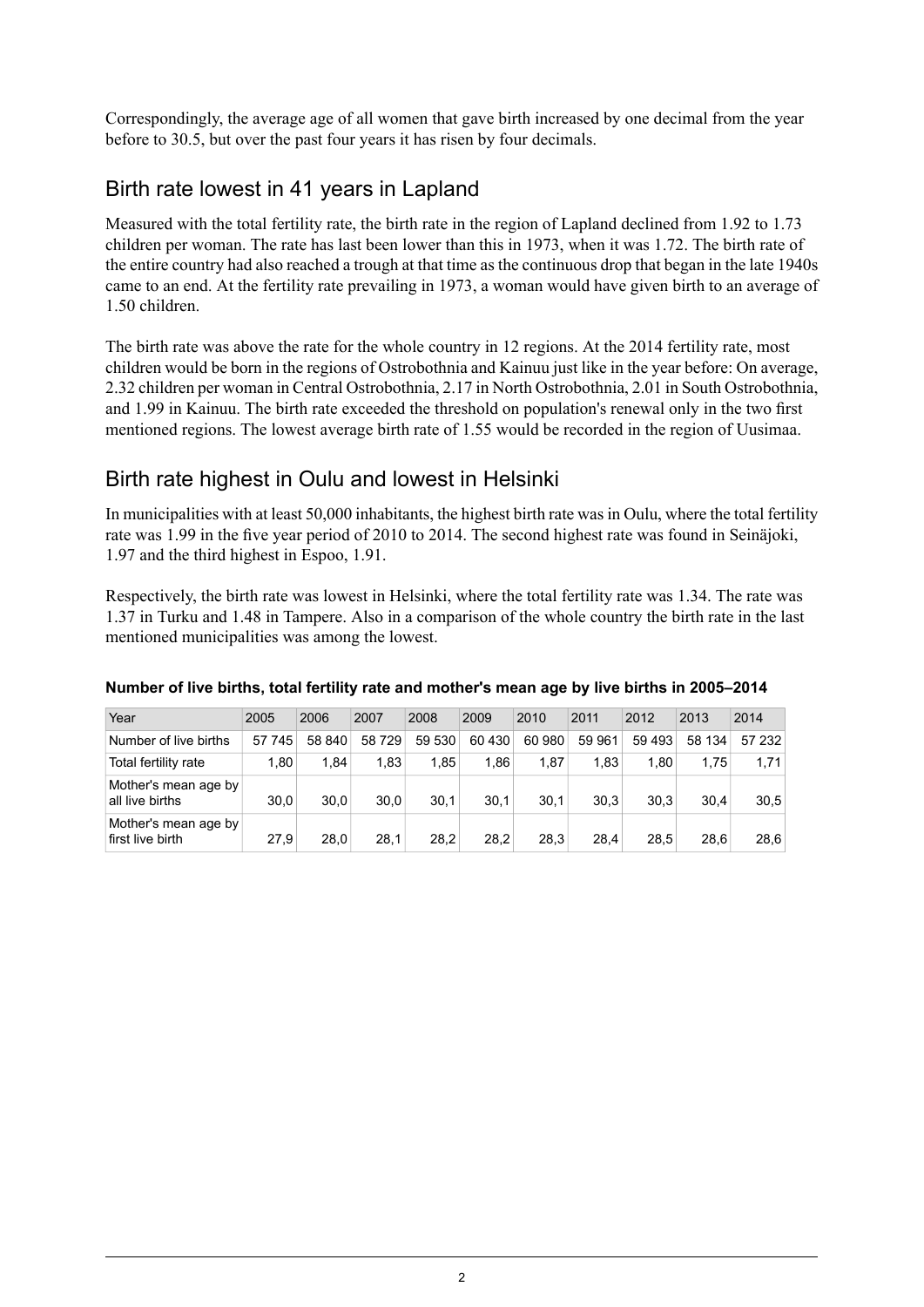Correspondingly, the average age of all women that gave birth increased by one decimal from the year before to 30.5, but over the past four years it has risen by four decimals.

### Birth rate lowest in 41 years in Lapland

Measured with the total fertility rate, the birth rate in the region of Lapland declined from 1.92 to 1.73 children per woman. The rate has last been lower than this in 1973, when it was 1.72. The birth rate of the entire country had also reached a trough at that time as the continuous drop that began in the late 1940s came to an end. At the fertility rate prevailing in 1973, a woman would have given birth to an average of 1.50 children.

The birth rate was above the rate for the whole country in 12 regions. At the 2014 fertility rate, most children would be born in the regions of Ostrobothnia and Kainuu just like in the year before: On average, 2.32 children per woman in Central Ostrobothnia, 2.17 in North Ostrobothnia, 2.01 in South Ostrobothnia, and 1.99 in Kainuu. The birth rate exceeded the threshold on population's renewal only in the two first mentioned regions. The lowest average birth rate of 1.55 would be recorded in the region of Uusimaa.

## Birth rate highest in Oulu and lowest in Helsinki

In municipalities with at least 50,000 inhabitants, the highest birth rate was in Oulu, where the total fertility rate was 1.99 in the five year period of 2010 to 2014. The second highest rate was found in Seinäjoki, 1.97 and the third highest in Espoo, 1.91.

Respectively, the birth rate was lowest in Helsinki, where the total fertility rate was 1.34. The rate was 1.37 in Turku and 1.48 in Tampere. Also in a comparison of the whole country the birth rate in the last mentioned municipalities was among the lowest.

| Year                                     | 2005   | 2006   | 2007   | 2008   | 2009   | 2010   | 2011   | 2012   | 2013   | 2014   |
|------------------------------------------|--------|--------|--------|--------|--------|--------|--------|--------|--------|--------|
| Number of live births                    | 57 745 | 58 840 | 58 729 | 59 530 | 60 430 | 60 980 | 59 961 | 59 493 | 58 134 | 57 232 |
| Total fertility rate                     | 1.80   | 1.84   | 1.83   | 1.85   | 1.86   | 1.87   | 1.83   | 1.80   | 1.75   | 1.71   |
| Mother's mean age by<br>all live births  | 30.0   | 30.0   | 30.0   | 30.1   | 30.1   | 30.1   | 30.3   | 30.3   | 30.4   | 30.5   |
| Mother's mean age by<br>first live birth | 27.9   | 28.0   | 28.1   | 28.2   | 28.2   | 28.3   | 28.4   | 28.5   | 28.6   | 28,6   |

#### **Number of live births, total fertility rate and mother's mean age by live births in 2005–2014**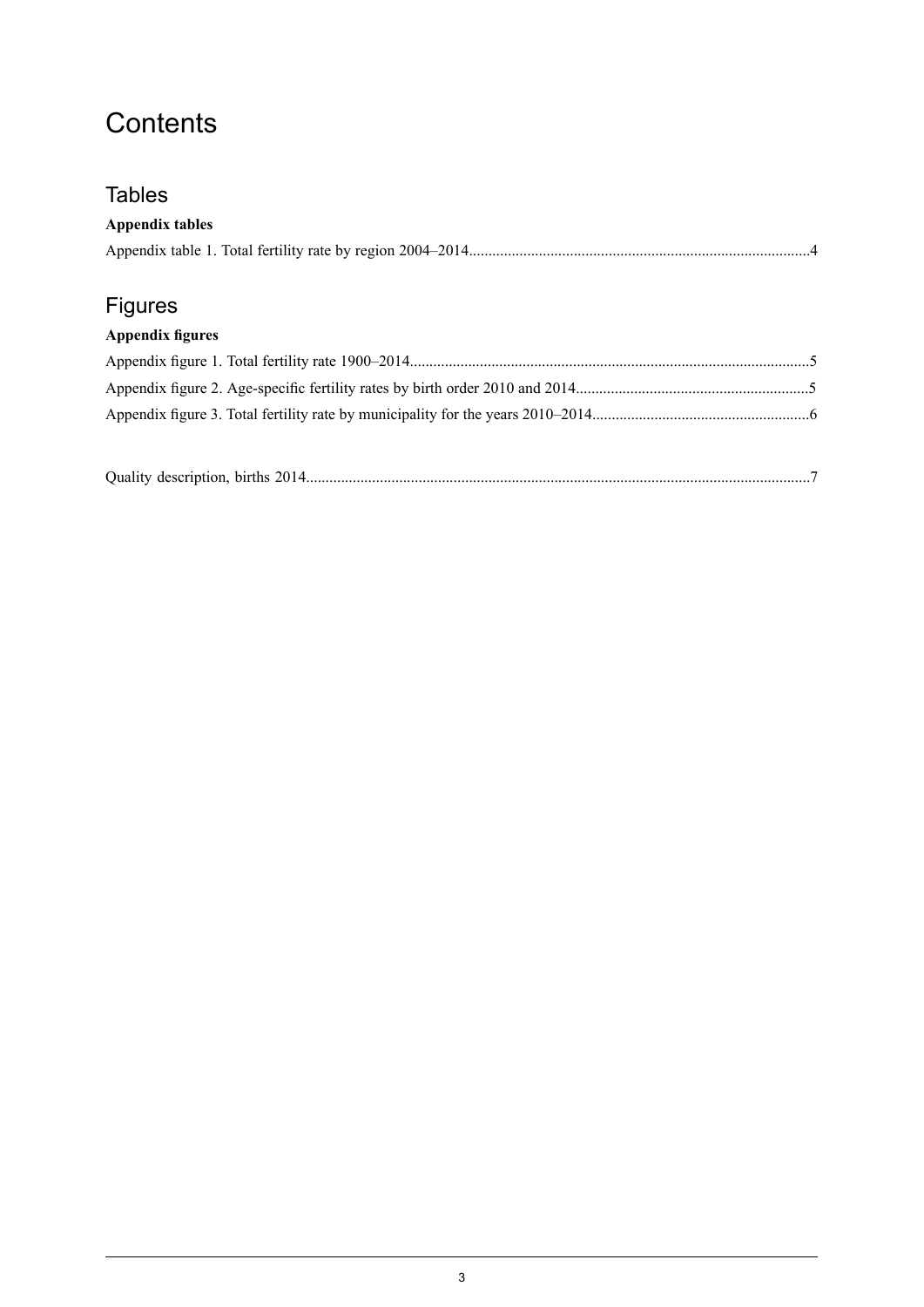## **Contents**

## **Tables**

## **Appendix tables**

## Figures

### **Appendix figures**

| Quality description, births 2014 |  |  |
|----------------------------------|--|--|
|----------------------------------|--|--|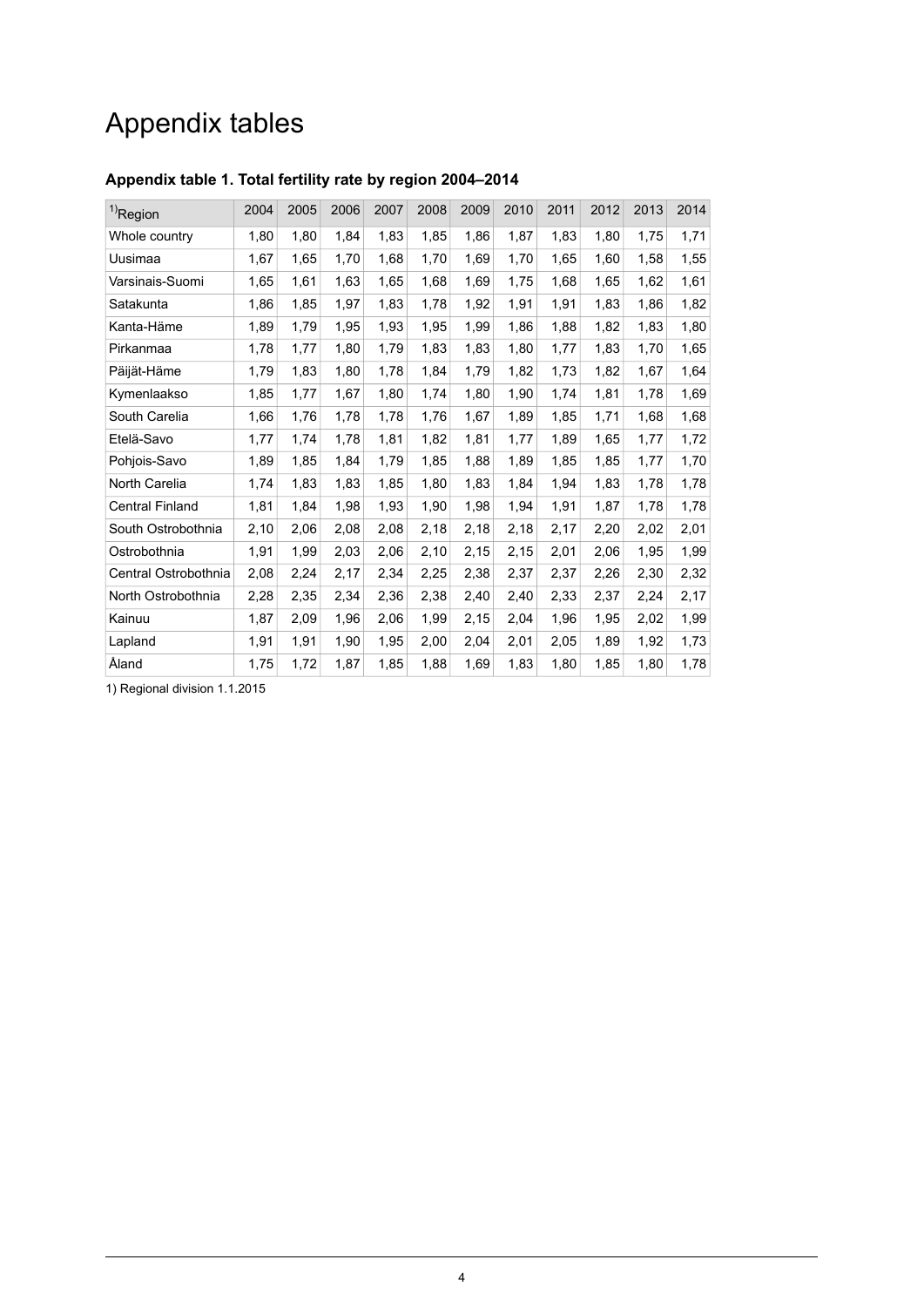## Appendix tables

| $1)$ Region            | 2004 | 2005 | 2006 | 2007 | 2008 | 2009 | 2010 | 2011 | 2012 | 2013 | 2014 |
|------------------------|------|------|------|------|------|------|------|------|------|------|------|
| Whole country          | 1,80 | 1,80 | 1,84 | 1,83 | 1,85 | 1,86 | 1,87 | 1,83 | 1,80 | 1,75 | 1,71 |
| Uusimaa                | 1,67 | 1,65 | 1,70 | 1,68 | 1,70 | 1,69 | 1,70 | 1,65 | 1,60 | 1,58 | 1,55 |
| Varsinais-Suomi        | 1,65 | 1,61 | 1,63 | 1,65 | 1,68 | 1,69 | 1,75 | 1,68 | 1,65 | 1,62 | 1,61 |
| Satakunta              | 1,86 | 1,85 | 1,97 | 1,83 | 1,78 | 1,92 | 1,91 | 1,91 | 1,83 | 1,86 | 1,82 |
| Kanta-Häme             | 1,89 | 1,79 | 1,95 | 1,93 | 1,95 | 1,99 | 1,86 | 1,88 | 1,82 | 1,83 | 1,80 |
| Pirkanmaa              | 1,78 | 1,77 | 1,80 | 1,79 | 1,83 | 1,83 | 1,80 | 1,77 | 1,83 | 1,70 | 1,65 |
| Päijät-Häme            | 1,79 | 1,83 | 1,80 | 1,78 | 1,84 | 1,79 | 1,82 | 1,73 | 1,82 | 1,67 | 1,64 |
| Kymenlaakso            | 1,85 | 1,77 | 1,67 | 1,80 | 1,74 | 1,80 | 1,90 | 1,74 | 1,81 | 1,78 | 1,69 |
| South Carelia          | 1,66 | 1,76 | 1,78 | 1,78 | 1,76 | 1,67 | 1,89 | 1,85 | 1,71 | 1,68 | 1,68 |
| Etelä-Savo             | 1,77 | 1,74 | 1,78 | 1,81 | 1,82 | 1,81 | 1,77 | 1,89 | 1,65 | 1,77 | 1,72 |
| Pohjois-Savo           | 1,89 | 1,85 | 1,84 | 1,79 | 1,85 | 1,88 | 1,89 | 1,85 | 1,85 | 1,77 | 1,70 |
| North Carelia          | 1,74 | 1,83 | 1,83 | 1,85 | 1,80 | 1,83 | 1,84 | 1,94 | 1,83 | 1,78 | 1,78 |
| <b>Central Finland</b> | 1,81 | 1,84 | 1,98 | 1,93 | 1,90 | 1,98 | 1,94 | 1,91 | 1,87 | 1,78 | 1,78 |
| South Ostrobothnia     | 2,10 | 2,06 | 2,08 | 2,08 | 2,18 | 2,18 | 2,18 | 2,17 | 2,20 | 2,02 | 2,01 |
| Ostrobothnia           | 1,91 | 1,99 | 2,03 | 2,06 | 2,10 | 2,15 | 2,15 | 2,01 | 2,06 | 1,95 | 1,99 |
| Central Ostrobothnia   | 2,08 | 2,24 | 2,17 | 2,34 | 2,25 | 2,38 | 2,37 | 2,37 | 2,26 | 2,30 | 2,32 |
| North Ostrobothnia     | 2,28 | 2,35 | 2,34 | 2,36 | 2,38 | 2,40 | 2,40 | 2,33 | 2,37 | 2,24 | 2,17 |
| Kainuu                 | 1,87 | 2,09 | 1,96 | 2,06 | 1,99 | 2,15 | 2,04 | 1,96 | 1,95 | 2,02 | 1,99 |
| Lapland                | 1,91 | 1,91 | 1,90 | 1,95 | 2,00 | 2,04 | 2,01 | 2,05 | 1,89 | 1,92 | 1,73 |
| Åland                  | 1,75 | 1,72 | 1,87 | 1,85 | 1,88 | 1,69 | 1,83 | 1,80 | 1,85 | 1,80 | 1,78 |

### <span id="page-3-0"></span>**Appendix table 1. Total fertility rate by region 2004–2014**

1) Regional division 1.1.2015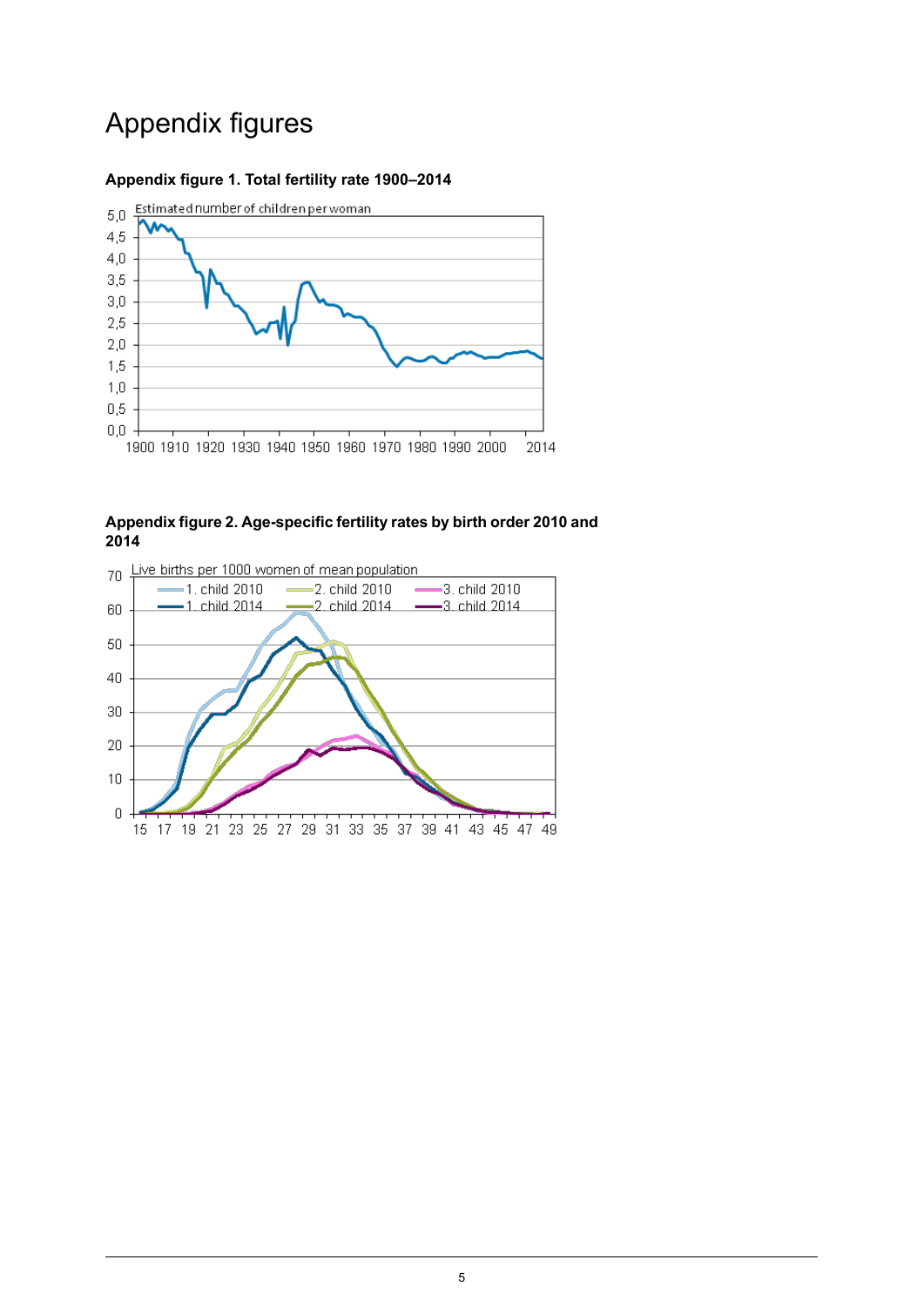## Appendix figures

#### <span id="page-4-0"></span>**Appendix figure 1. Total fertility rate 1900–2014**



<span id="page-4-1"></span>**Appendix figure 2. Age-specific fertility rates by birth order 2010 and 2014**

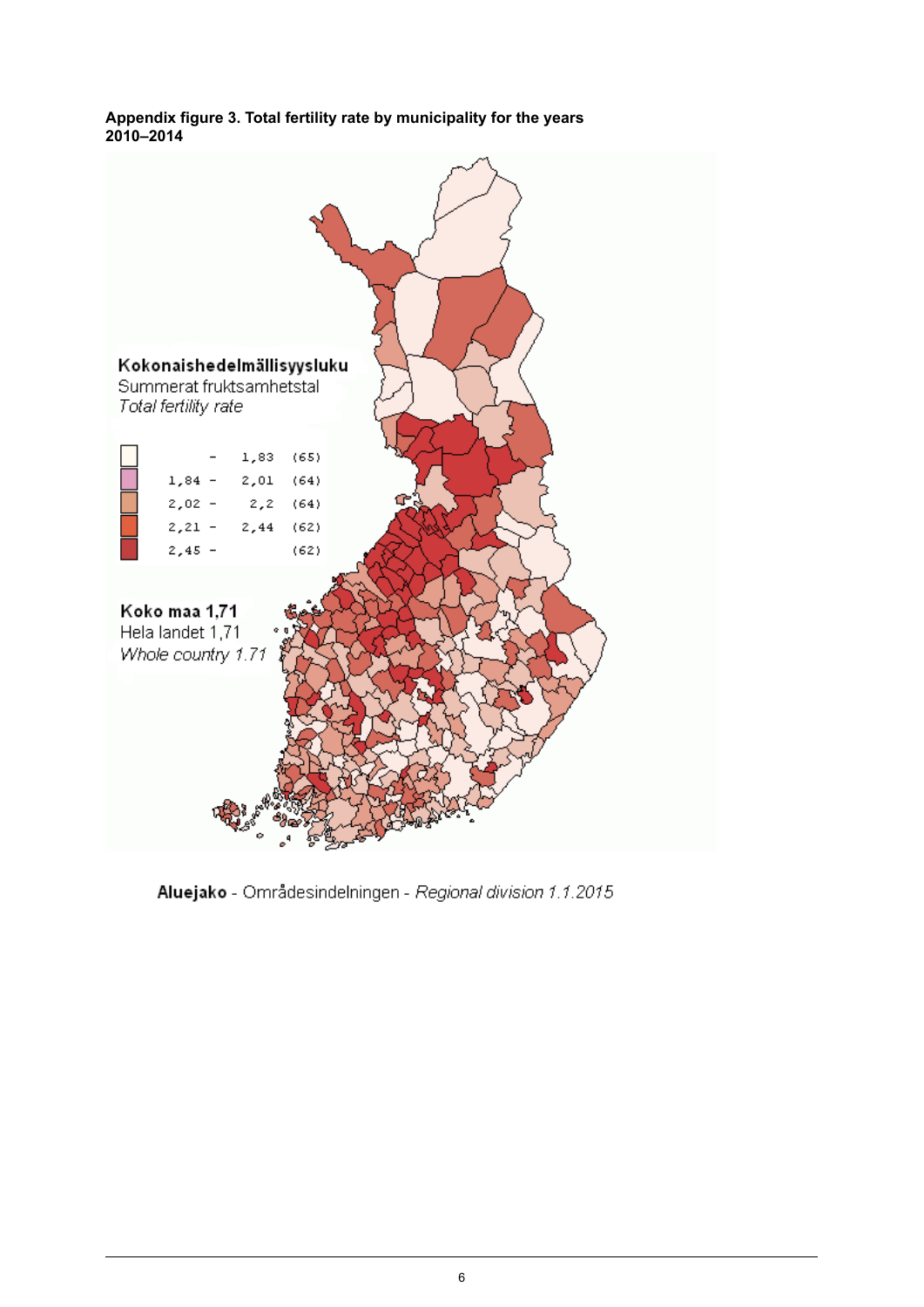#### <span id="page-5-0"></span>**Appendix figure 3. Total fertility rate by municipality for the years 2010–2014**



Aluejako - Områdesindelningen - Regional division 1.1.2015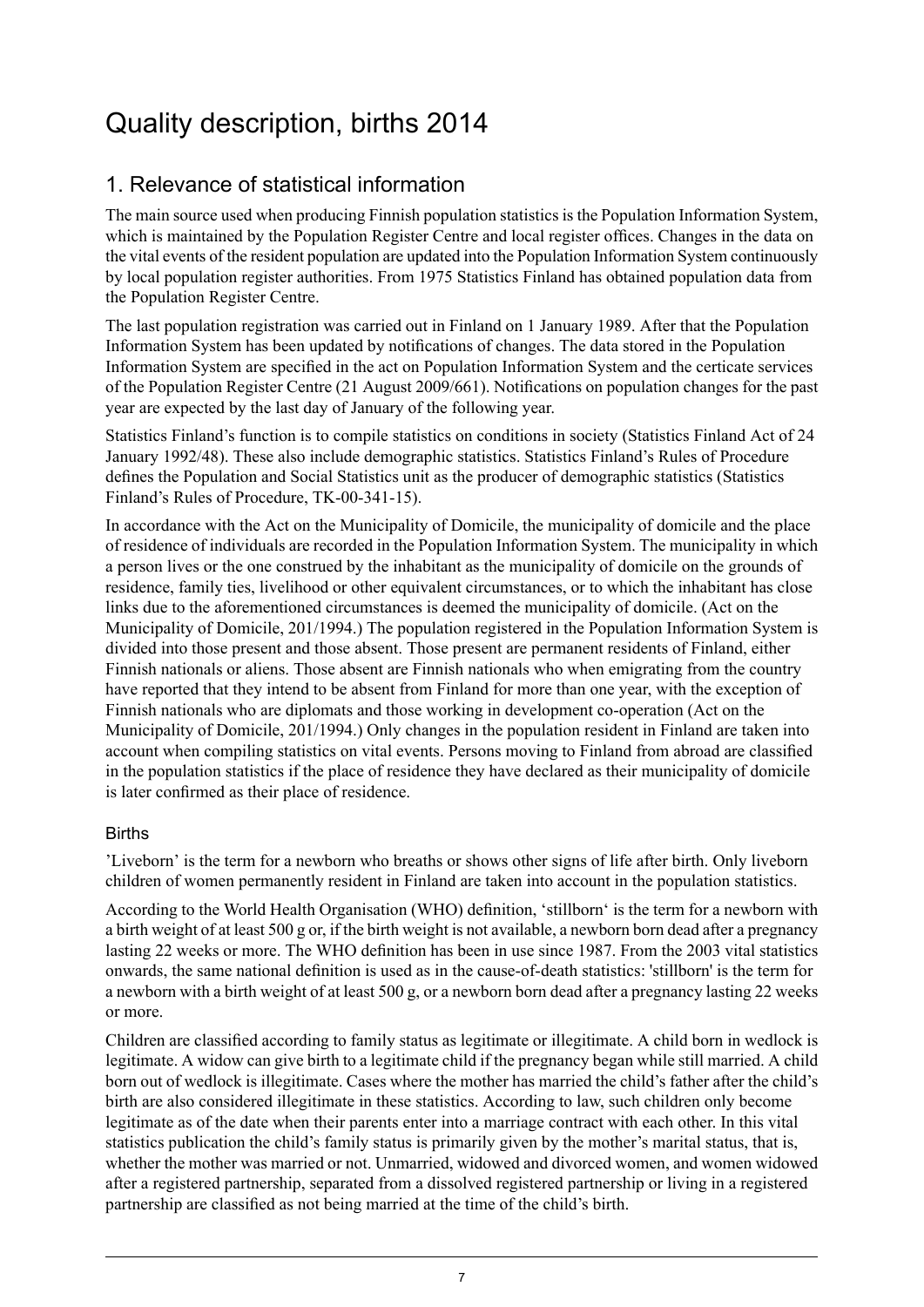## <span id="page-6-0"></span>Quality description, births 2014

## 1. Relevance of statistical information

The main source used when producing Finnish population statistics is the Population Information System, which is maintained by the Population Register Centre and local register offices. Changes in the data on the vital events of the resident population are updated into the Population Information System continuously by local population register authorities. From 1975 Statistics Finland has obtained population data from the Population Register Centre.

The last population registration was carried out in Finland on 1 January 1989. After that the Population Information System has been updated by notifications of changes. The data stored in the Population Information System are specified in the act on Population Information System and the certicate services of the Population Register Centre (21 August 2009/661). Notifications on population changes for the past year are expected by the last day of January of the following year.

Statistics Finland's function is to compile statistics on conditions in society (Statistics Finland Act of 24 January 1992/48). These also include demographic statistics. Statistics Finland's Rules of Procedure defines the Population and Social Statistics unit as the producer of demographic statistics (Statistics Finland's Rules of Procedure, TK-00-341-15).

In accordance with the Act on the Municipality of Domicile, the municipality of domicile and the place of residence of individuals are recorded in the Population Information System. The municipality in which a person lives or the one construed by the inhabitant as the municipality of domicile on the grounds of residence, family ties, livelihood or other equivalent circumstances, or to which the inhabitant has close links due to the aforementioned circumstances is deemed the municipality of domicile. (Act on the Municipality of Domicile, 201/1994.) The population registered in the Population Information System is divided into those present and those absent. Those present are permanent residents of Finland, either Finnish nationals or aliens. Those absent are Finnish nationals who when emigrating from the country have reported that they intend to be absent from Finland for more than one year, with the exception of Finnish nationals who are diplomats and those working in development co-operation (Act on the Municipality of Domicile, 201/1994.) Only changes in the population resident in Finland are taken into account when compiling statistics on vital events. Persons moving to Finland from abroad are classified in the population statistics if the place of residence they have declared as their municipality of domicile is later confirmed as their place of residence.

#### **Births**

'Liveborn' is the term for a newborn who breaths or shows other signs of life after birth. Only liveborn children of women permanently resident in Finland are taken into account in the population statistics.

According to the World Health Organisation (WHO) definition, 'stillborn' is the term for a newborn with a birth weight of at least 500 g or, if the birth weight is not available, a newborn born dead after a pregnancy lasting 22 weeks or more. The WHO definition has been in use since 1987. From the 2003 vital statistics onwards, the same national definition is used as in the cause-of-death statistics: 'stillborn' is the term for a newborn with a birth weight of at least 500 g, or a newborn born dead after a pregnancy lasting 22 weeks or more.

Children are classified according to family status as legitimate or illegitimate. A child born in wedlock is legitimate. A widow can give birth to a legitimate child if the pregnancy began while still married. A child born out of wedlock is illegitimate. Cases where the mother has married the child's father after the child's birth are also considered illegitimate in these statistics. According to law, such children only become legitimate as of the date when their parents enter into a marriage contract with each other. In this vital statistics publication the child's family status is primarily given by the mother's marital status, that is, whether the mother was married or not. Unmarried, widowed and divorced women, and women widowed after a registered partnership, separated from a dissolved registered partnership or living in a registered partnership are classified as not being married at the time of the child's birth.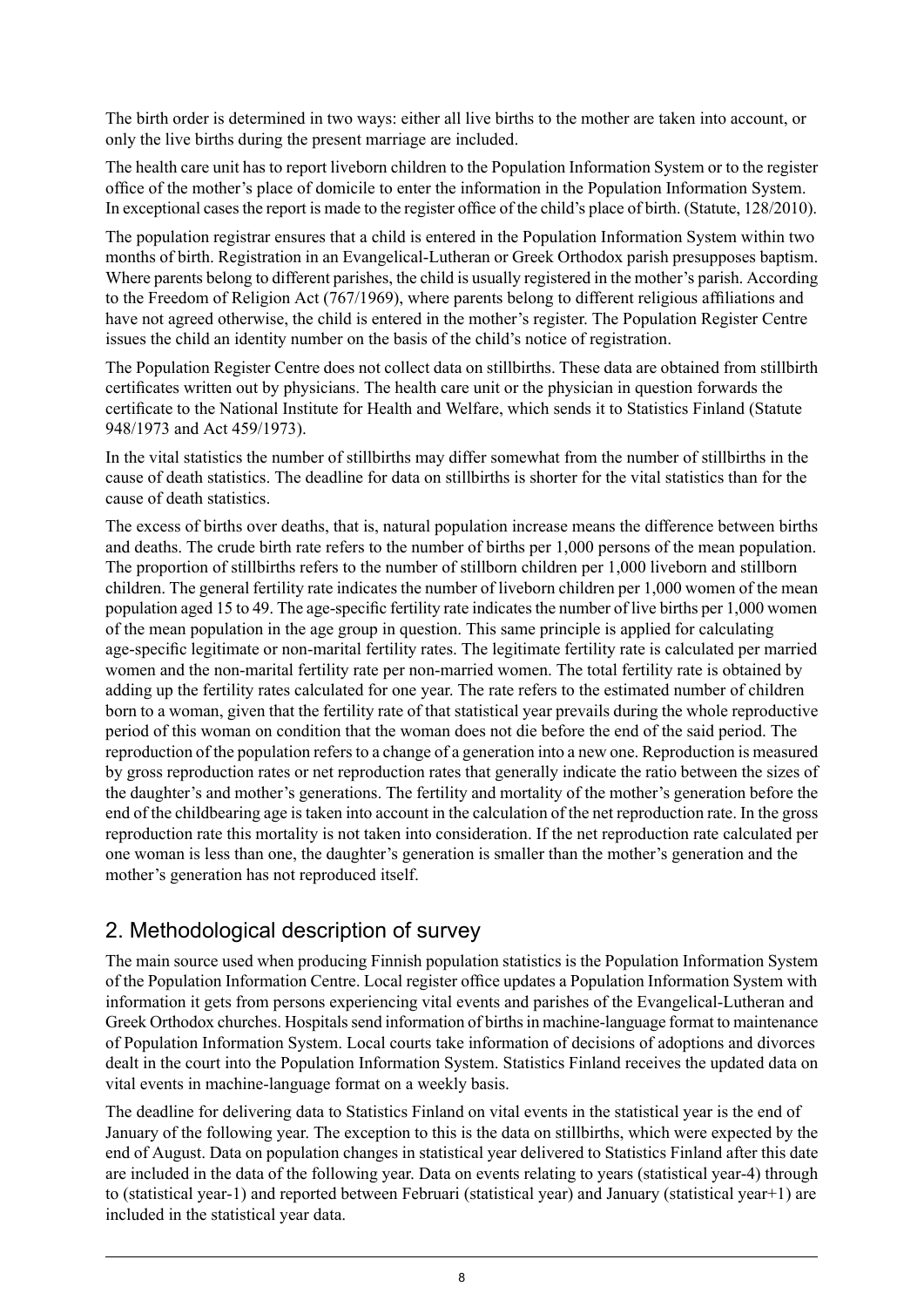The birth order is determined in two ways: either all live births to the mother are taken into account, or only the live births during the present marriage are included.

The health care unit has to report liveborn children to the Population Information System or to the register office of the mother's place of domicile to enter the information in the Population Information System. In exceptional casesthe report is made to the register office of the child's place of birth. (Statute, 128/2010).

The population registrar ensures that a child is entered in the Population Information System within two months of birth. Registration in an Evangelical-Lutheran or Greek Orthodox parish presupposes baptism. Where parents belong to different parishes, the child is usually registered in the mother's parish. According to the Freedom of Religion Act (767/1969), where parents belong to different religious affiliations and have not agreed otherwise, the child is entered in the mother's register. The Population Register Centre issues the child an identity number on the basis of the child's notice of registration.

The Population Register Centre does not collect data on stillbirths. These data are obtained from stillbirth certificates written out by physicians. The health care unit or the physician in question forwards the certificate to the National Institute for Health and Welfare, which sends it to Statistics Finland (Statute 948/1973 and Act 459/1973).

In the vital statistics the number of stillbirths may differ somewhat from the number of stillbirths in the cause of death statistics. The deadline for data on stillbirths is shorter for the vital statistics than for the cause of death statistics.

The excess of births over deaths, that is, natural population increase means the difference between births and deaths. The crude birth rate refers to the number of births per 1,000 persons of the mean population. The proportion of stillbirths refers to the number of stillborn children per 1,000 liveborn and stillborn children. The general fertility rate indicates the number of liveborn children per 1,000 women of the mean population aged 15 to 49. The age-specific fertility rate indicates the number of live births per 1,000 women of the mean population in the age group in question. This same principle is applied for calculating age-specific legitimate or non-marital fertility rates. The legitimate fertility rate is calculated per married women and the non-marital fertility rate per non-married women. The total fertility rate is obtained by adding up the fertility rates calculated for one year. The rate refers to the estimated number of children born to a woman, given that the fertility rate of that statistical year prevails during the whole reproductive period of this woman on condition that the woman does not die before the end of the said period. The reproduction of the population refers to a change of a generation into a new one. Reproduction is measured by gross reproduction rates or net reproduction rates that generally indicate the ratio between the sizes of the daughter's and mother's generations. The fertility and mortality of the mother's generation before the end of the childbearing age is taken into account in the calculation of the net reproduction rate. In the gross reproduction rate this mortality is not taken into consideration. If the net reproduction rate calculated per one woman is less than one, the daughter's generation is smaller than the mother's generation and the mother's generation has not reproduced itself.

## 2. Methodological description of survey

The main source used when producing Finnish population statistics is the Population Information System of the Population Information Centre. Local register office updates a Population Information System with information it gets from persons experiencing vital events and parishes of the Evangelical-Lutheran and Greek Orthodox churches. Hospitals send information of births in machine-language format to maintenance of Population Information System. Local courts take information of decisions of adoptions and divorces dealt in the court into the Population Information System. Statistics Finland receives the updated data on vital events in machine-language format on a weekly basis.

The deadline for delivering data to Statistics Finland on vital events in the statistical year is the end of January of the following year. The exception to this is the data on stillbirths, which were expected by the end of August. Data on population changes in statistical year delivered to Statistics Finland after this date are included in the data of the following year. Data on events relating to years (statistical year-4) through to (statistical year-1) and reported between Februari (statistical year) and January (statistical year+1) are included in the statistical year data.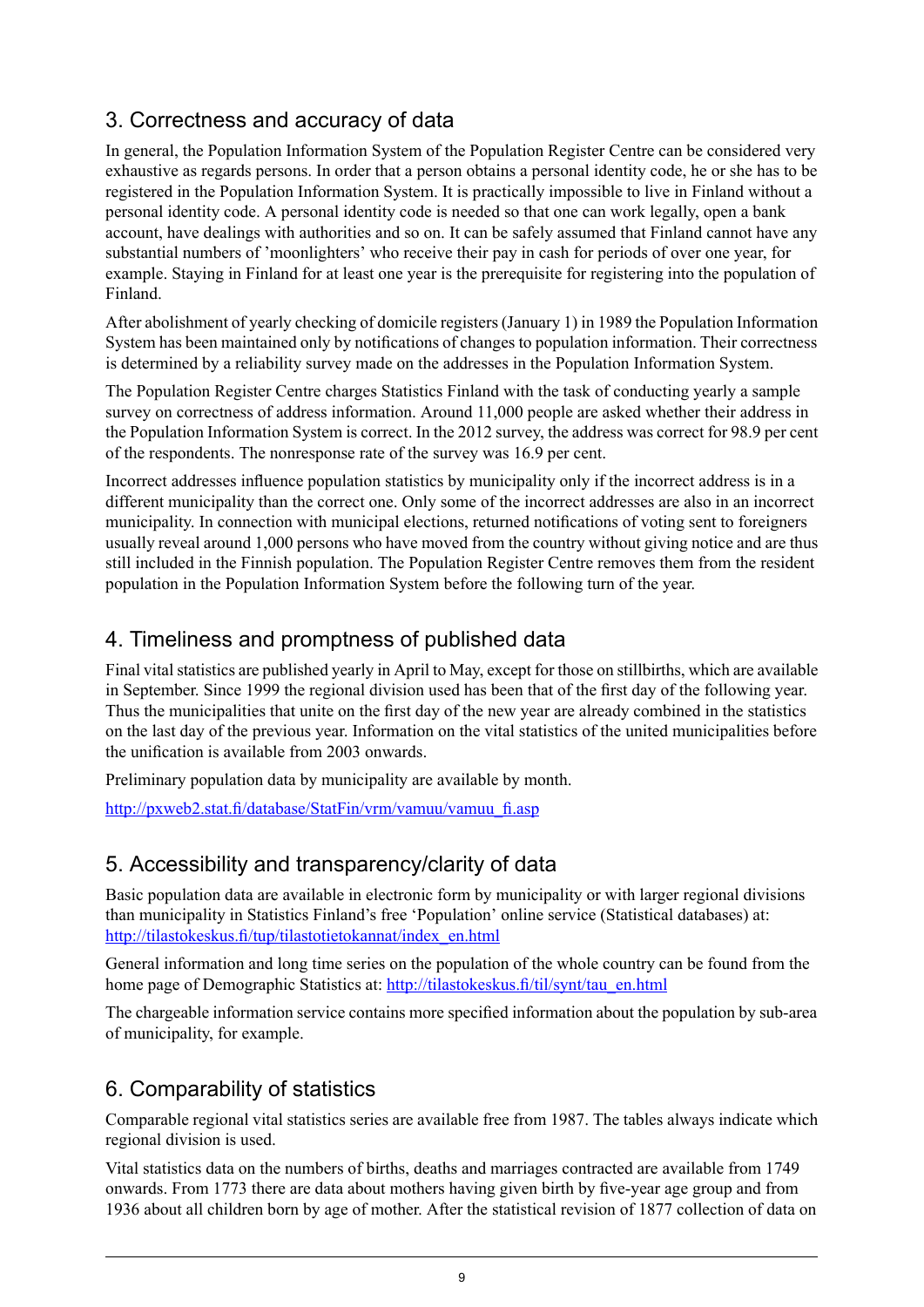## 3. Correctness and accuracy of data

In general, the Population Information System of the Population Register Centre can be considered very exhaustive as regards persons. In order that a person obtains a personal identity code, he or she has to be registered in the Population Information System. It is practically impossible to live in Finland without a personal identity code. A personal identity code is needed so that one can work legally, open a bank account, have dealings with authorities and so on. It can be safely assumed that Finland cannot have any substantial numbers of 'moonlighters' who receive their pay in cash for periods of over one year, for example. Staying in Finland for at least one year is the prerequisite for registering into the population of Finland.

After abolishment of yearly checking of domicile registers (January 1) in 1989 the Population Information System has been maintained only by notifications of changes to population information. Their correctness is determined by a reliability survey made on the addresses in the Population Information System.

The Population Register Centre charges Statistics Finland with the task of conducting yearly a sample survey on correctness of address information. Around 11,000 people are asked whether their address in the Population Information System is correct. In the 2012 survey, the address was correct for 98.9 per cent of the respondents. The nonresponse rate of the survey was 16.9 per cent.

Incorrect addresses influence population statistics by municipality only if the incorrect address is in a different municipality than the correct one. Only some of the incorrect addresses are also in an incorrect municipality. In connection with municipal elections, returned notifications of voting sent to foreigners usually reveal around 1,000 persons who have moved from the country without giving notice and are thus still included in the Finnish population. The Population Register Centre removes them from the resident population in the Population Information System before the following turn of the year.

## 4. Timeliness and promptness of published data

Final vital statistics are published yearly in April to May, except for those on stillbirths, which are available in September. Since 1999 the regional division used has been that of the first day of the following year. Thus the municipalities that unite on the first day of the new year are already combined in the statistics on the last day of the previous year. Information on the vital statistics of the united municipalities before the unification is available from 2003 onwards.

Preliminary population data by municipality are available by month.

[http://pxweb2.stat.fi/database/StatFin/vrm/vamuu/vamuu\\_fi.asp](http://pxweb2.stat.fi/database/StatFin/vrm/vamuu/vamuu_fi.asp)

### 5. Accessibility and transparency/clarity of data

Basic population data are available in electronic form by municipality or with larger regional divisions than municipality in Statistics Finland's free 'Population' online service (Statistical databases) at: [http://tilastokeskus.fi/tup/tilastotietokannat/index\\_en.html](http://tilastokeskus.fi/tup/tilastotietokannat/index_en.html)

General information and long time series on the population of the whole country can be found from the home page of Demographic Statistics at: [http://tilastokeskus.fi/til/synt/tau\\_en.html](http://tilastokeskus.fi/til/synt/tau_en.html)

The chargeable information service contains more specified information about the population by sub-area of municipality, for example.

## 6. Comparability of statistics

Comparable regional vital statistics series are available free from 1987. The tables always indicate which regional division is used.

Vital statistics data on the numbers of births, deaths and marriages contracted are available from 1749 onwards. From 1773 there are data about mothers having given birth by five-year age group and from 1936 about all children born by age of mother. After the statistical revision of 1877 collection of data on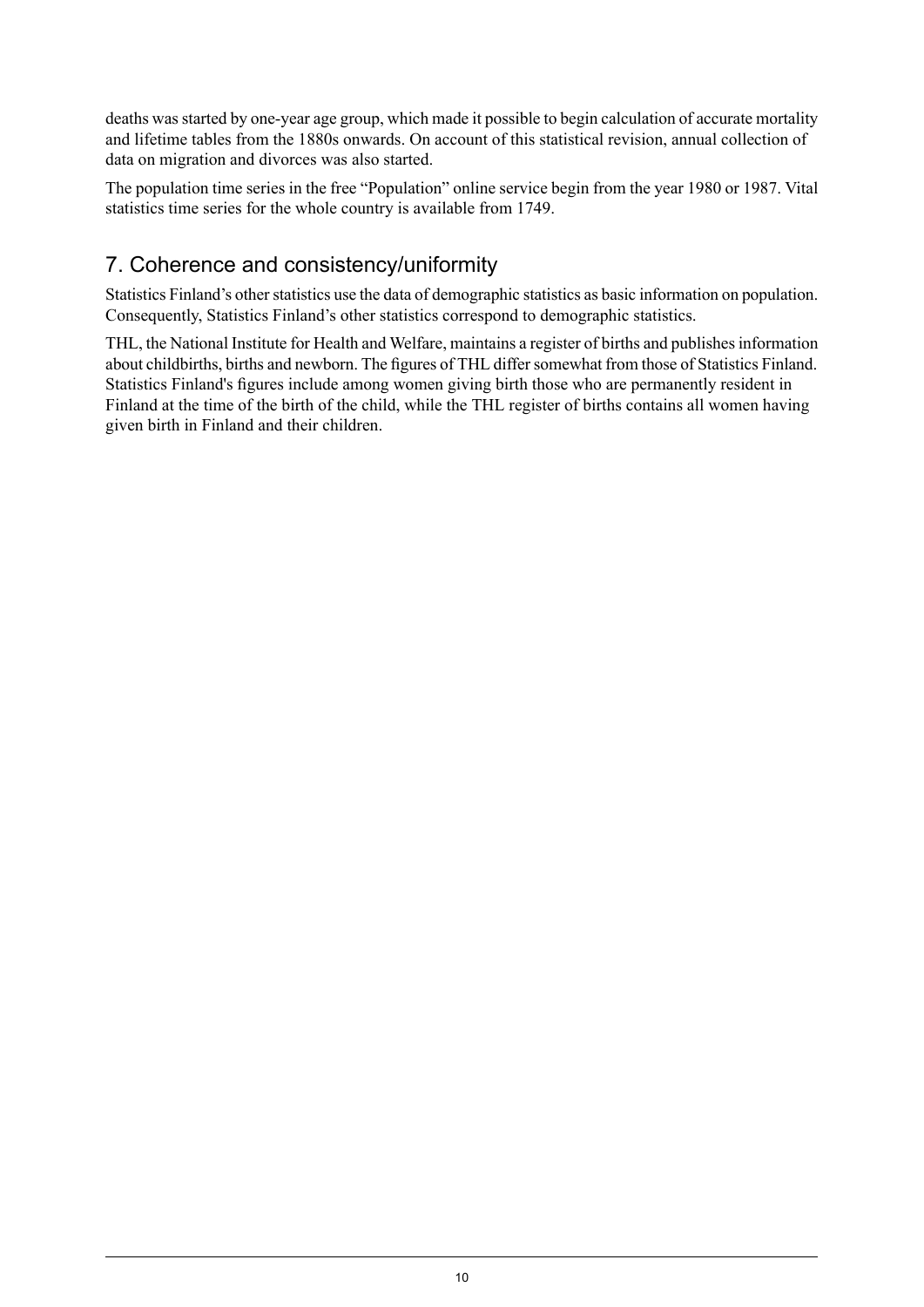deaths was started by one-year age group, which made it possible to begin calculation of accurate mortality and lifetime tables from the 1880s onwards. On account of this statistical revision, annual collection of data on migration and divorces was also started.

The population time series in the free "Population" online service begin from the year 1980 or 1987. Vital statistics time series for the whole country is available from 1749.

## 7. Coherence and consistency/uniformity

Statistics Finland's other statistics use the data of demographic statistics as basic information on population. Consequently, Statistics Finland's other statistics correspond to demographic statistics.

THL, the National Institute for Health and Welfare, maintains a register of births and publishesinformation about childbirths, births and newborn. The figures of THL differ somewhat from those of Statistics Finland. Statistics Finland's figures include among women giving birth those who are permanently resident in Finland at the time of the birth of the child, while the THL register of births contains all women having given birth in Finland and their children.